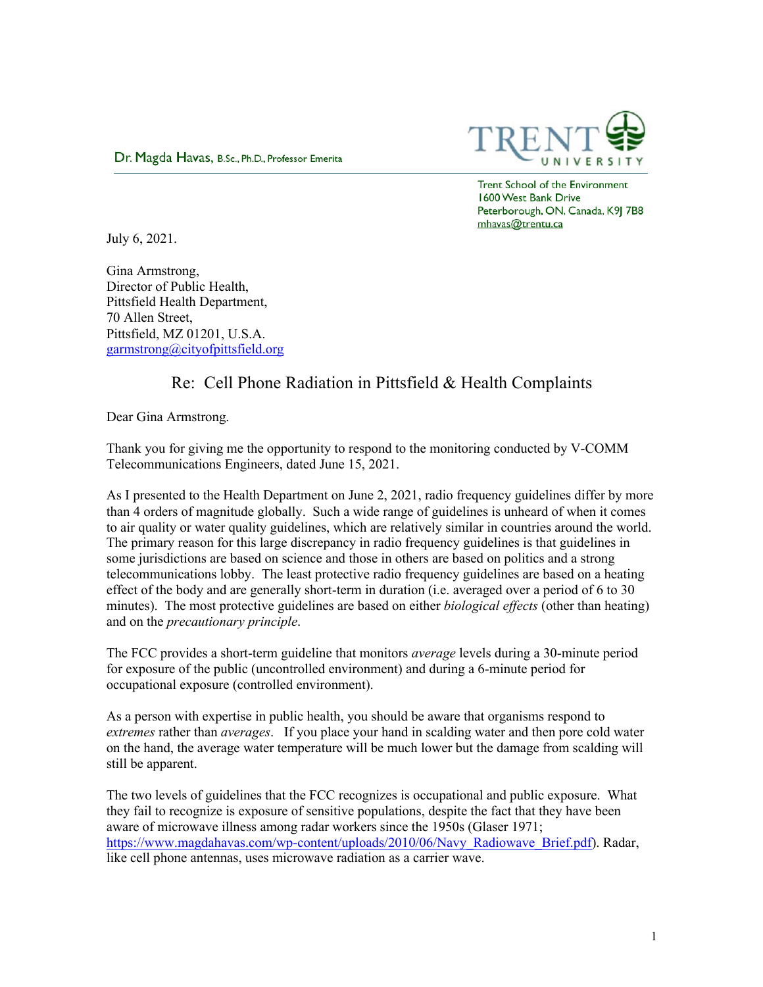

Dr. Magda Havas, B.Sc., Ph.D., Professor Emerita

Trent School of the Environment 1600 West Bank Drive Peterborough, ON, Canada, K9| 7B8 mhavas@trentu.ca

July 6, 2021.

Gina Armstrong, Director of Public Health, Pittsfield Health Department, 70 Allen Street, Pittsfield, MZ 01201, U.S.A. garmstrong@cityofpittsfield.org

## Re: Cell Phone Radiation in Pittsfield & Health Complaints

Dear Gina Armstrong.

Thank you for giving me the opportunity to respond to the monitoring conducted by V-COMM Telecommunications Engineers, dated June 15, 2021.

As I presented to the Health Department on June 2, 2021, radio frequency guidelines differ by more than 4 orders of magnitude globally. Such a wide range of guidelines is unheard of when it comes to air quality or water quality guidelines, which are relatively similar in countries around the world. The primary reason for this large discrepancy in radio frequency guidelines is that guidelines in some jurisdictions are based on science and those in others are based on politics and a strong telecommunications lobby. The least protective radio frequency guidelines are based on a heating effect of the body and are generally short-term in duration (i.e. averaged over a period of 6 to 30 minutes). The most protective guidelines are based on either *biological effects* (other than heating) and on the *precautionary principle*.

The FCC provides a short-term guideline that monitors *average* levels during a 30-minute period for exposure of the public (uncontrolled environment) and during a 6-minute period for occupational exposure (controlled environment).

As a person with expertise in public health, you should be aware that organisms respond to *extremes* rather than *averages*. If you place your hand in scalding water and then pore cold water on the hand, the average water temperature will be much lower but the damage from scalding will still be apparent.

The two levels of guidelines that the FCC recognizes is occupational and public exposure. What they fail to recognize is exposure of sensitive populations, despite the fact that they have been aware of microwave illness among radar workers since the 1950s (Glaser 1971; https://www.magdahavas.com/wp-content/uploads/2010/06/Navy\_Radiowave\_Brief.pdf). Radar, like cell phone antennas, uses microwave radiation as a carrier wave.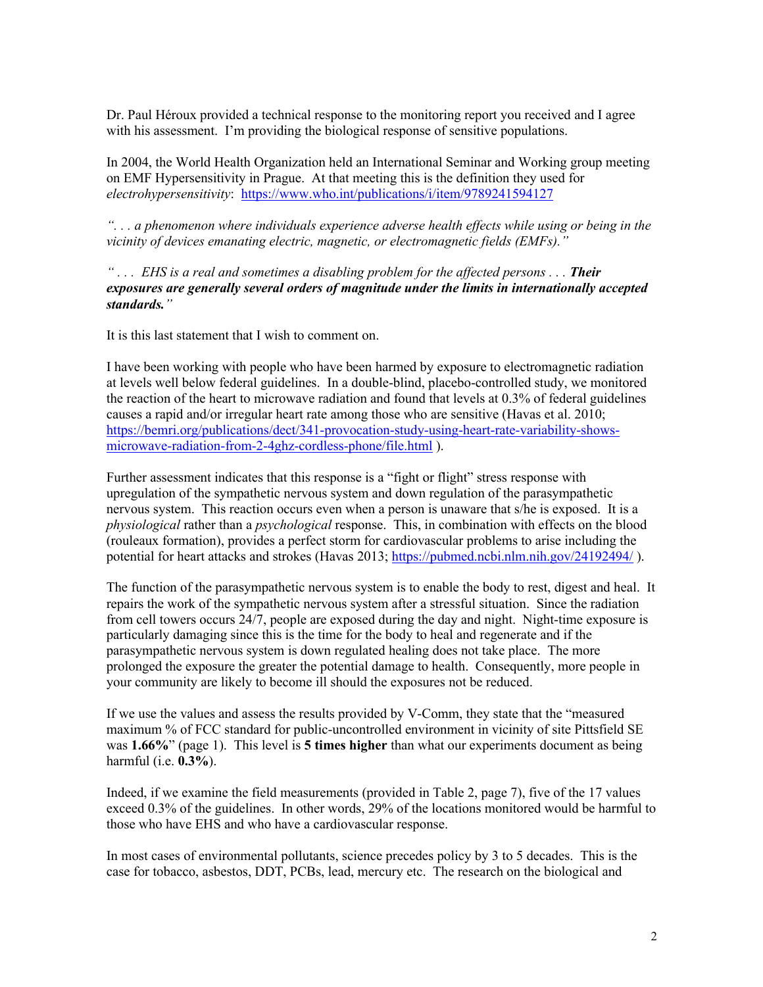Dr. Paul Héroux provided a technical response to the monitoring report you received and I agree with his assessment. I'm providing the biological response of sensitive populations.

In 2004, the World Health Organization held an International Seminar and Working group meeting on EMF Hypersensitivity in Prague. At that meeting this is the definition they used for *electrohypersensitivity*: https://www.who.int/publications/i/item/9789241594127

*". . . a phenomenon where individuals experience adverse health effects while using or being in the vicinity of devices emanating electric, magnetic, or electromagnetic fields (EMFs)."*

*" . . . EHS is a real and sometimes a disabling problem for the affected persons . . . Their exposures are generally several orders of magnitude under the limits in internationally accepted standards."*

It is this last statement that I wish to comment on.

I have been working with people who have been harmed by exposure to electromagnetic radiation at levels well below federal guidelines. In a double-blind, placebo-controlled study, we monitored the reaction of the heart to microwave radiation and found that levels at 0.3% of federal guidelines causes a rapid and/or irregular heart rate among those who are sensitive (Havas et al. 2010; https://bemri.org/publications/dect/341-provocation-study-using-heart-rate-variability-showsmicrowave-radiation-from-2-4ghz-cordless-phone/file.html ).

Further assessment indicates that this response is a "fight or flight" stress response with upregulation of the sympathetic nervous system and down regulation of the parasympathetic nervous system. This reaction occurs even when a person is unaware that s/he is exposed. It is a *physiological* rather than a *psychological* response. This, in combination with effects on the blood (rouleaux formation), provides a perfect storm for cardiovascular problems to arise including the potential for heart attacks and strokes (Havas 2013; https://pubmed.ncbi.nlm.nih.gov/24192494/ ).

The function of the parasympathetic nervous system is to enable the body to rest, digest and heal. It repairs the work of the sympathetic nervous system after a stressful situation. Since the radiation from cell towers occurs 24/7, people are exposed during the day and night. Night-time exposure is particularly damaging since this is the time for the body to heal and regenerate and if the parasympathetic nervous system is down regulated healing does not take place. The more prolonged the exposure the greater the potential damage to health. Consequently, more people in your community are likely to become ill should the exposures not be reduced.

If we use the values and assess the results provided by V-Comm, they state that the "measured maximum % of FCC standard for public-uncontrolled environment in vicinity of site Pittsfield SE was **1.66%**" (page 1). This level is **5 times higher** than what our experiments document as being harmful (i.e. **0.3%**).

Indeed, if we examine the field measurements (provided in Table 2, page 7), five of the 17 values exceed 0.3% of the guidelines. In other words, 29% of the locations monitored would be harmful to those who have EHS and who have a cardiovascular response.

In most cases of environmental pollutants, science precedes policy by 3 to 5 decades. This is the case for tobacco, asbestos, DDT, PCBs, lead, mercury etc. The research on the biological and